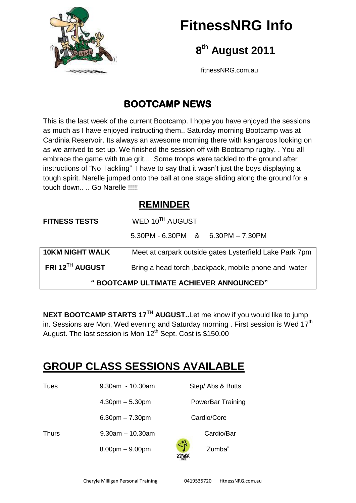

# **FitnessNRG Info**

 **8 th August 2011**

fitnessNRG.com.au

## **BOOTCAMP NEWS**

This is the last week of the current Bootcamp. I hope you have enjoyed the sessions as much as I have enjoyed instructing them.. Saturday morning Bootcamp was at Cardinia Reservoir. Its always an awesome morning there with kangaroos looking on as we arrived to set up. We finished the session off with Bootcamp rugby. . You all embrace the game with true grit.... Some troops were tackled to the ground after instructions of "No Tackling" I have to say that it wasn't just the boys displaying a tough spirit. Narelle jumped onto the ball at one stage sliding along the ground for a touch down.... Go Narelle !!!!!

### **REMINDER**

| <b>FITNESS TESTS</b>                    | WED 10 <sup>TH</sup> AUGUST                             |  |  |  |
|-----------------------------------------|---------------------------------------------------------|--|--|--|
|                                         | $5.30$ PM - 6.30PM & 6.30PM - 7.30PM                    |  |  |  |
| <b>10KM NIGHT WALK</b>                  | Meet at carpark outside gates Lysterfield Lake Park 7pm |  |  |  |
| FRI 12TH AUGUST                         | Bring a head torch, backpack, mobile phone and water    |  |  |  |
| " BOOTCAMP ULTIMATE ACHIEVER ANNOUNCED" |                                                         |  |  |  |

**NEXT BOOTCAMP STARTS 17TH AUGUST..**Let me know if you would like to jump in. Sessions are Mon, Wed evening and Saturday morning . First session is Wed 17<sup>th</sup> August. The last session is Mon 12<sup>th</sup> Sept. Cost is \$150.00

## **GROUP CLASS SESSIONS AVAILABLE**

| Tues         | $9.30$ am - 10.30am   | Step/ Abs & Butts        |  |
|--------------|-----------------------|--------------------------|--|
|              | $4.30pm - 5.30pm$     | <b>PowerBar Training</b> |  |
|              | $6.30pm - 7.30pm$     | Cardio/Core              |  |
| <b>Thurs</b> | $9.30$ am $-10.30$ am | Cardio/Bar               |  |
|              | $8.00pm - 9.00pm$     | -7<br>"Zumba"            |  |